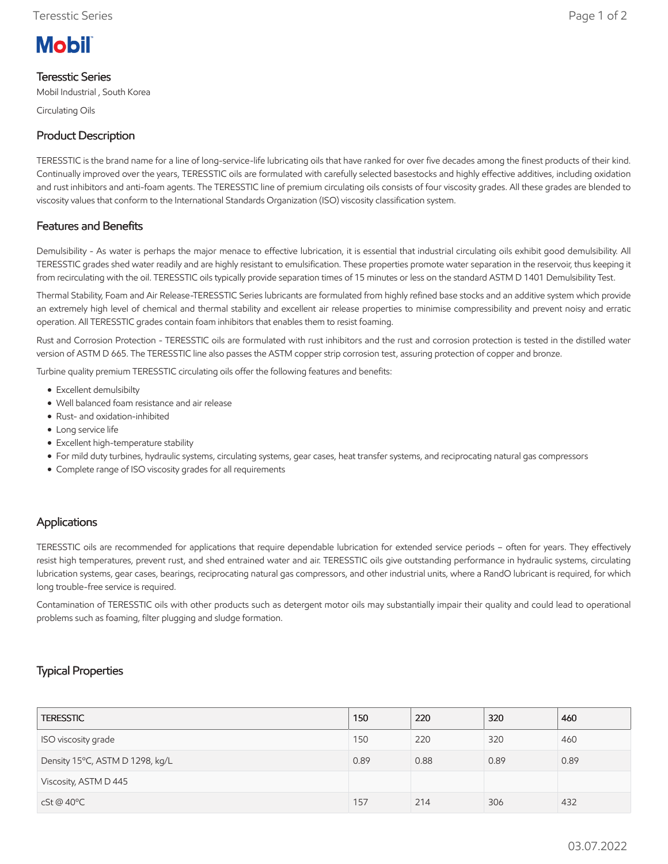# **Mobil**

### Teresstic Series

Mobil Industrial , South Korea

Circulating Oils

# Product Description

TERESSTIC is the brand name for a line of long-service-life lubricating oils that have ranked for over five decades among the finest products of their kind. Continually improved over the years, TERESSTIC oils are formulated with carefully selected basestocks and highly effective additives, including oxidation and rust inhibitors and anti-foam agents. The TERESSTIC line of premium circulating oils consists of four viscosity grades. All these grades are blended to viscosity values that conform to the International Standards Organization (ISO) viscosity classification system.

# Features and Benefits

Demulsibility - As water is perhaps the major menace to effective lubrication, it is essential that industrial circulating oils exhibit good demulsibility. All TERESSTIC grades shed water readily and are highly resistant to emulsification. These properties promote water separation in the reservoir, thus keeping it from recirculating with the oil. TERESSTIC oils typically provide separation times of 15 minutes or less on the standard ASTM D 1401 Demulsibility Test.

Thermal Stability, Foam and Air Release-TERESSTIC Series lubricants are formulated from highly refined base stocks and an additive system which provide an extremely high level of chemical and thermal stability and excellent air release properties to minimise compressibility and prevent noisy and erratic operation. All TERESSTIC grades contain foam inhibitors that enables them to resist foaming.

Rust and Corrosion Protection - TERESSTIC oils are formulated with rust inhibitors and the rust and corrosion protection is tested in the distilled water version of ASTM D 665. The TERESSTIC line also passes the ASTM copper strip corrosion test, assuring protection of copper and bronze.

Turbine quality premium TERESSTIC circulating oils offer the following features and benefits:

- Excellent demulsibilty
- Well balanced foam resistance and air release
- Rust- and oxidation-inhibited
- Long service life
- Excellent high-temperature stability
- For mild duty turbines, hydraulic systems, circulating systems, gear cases, heat transfer systems, and reciprocating natural gas compressors
- Complete range of ISO viscosity grades for all requirements

### Applications

TERESSTIC oils are recommended for applications that require dependable lubrication for extended service periods – often for years. They effectively resist high temperatures, prevent rust, and shed entrained water and air. TERESSTIC oils give outstanding performance in hydraulic systems, circulating lubrication systems, gear cases, bearings, reciprocating natural gas compressors, and other industrial units, where a RandO lubricant is required, for which long trouble-free service is required.

Contamination of TERESSTIC oils with other products such as detergent motor oils may substantially impair their quality and could lead to operational problems such as foaming, filter plugging and sludge formation.

## Typical Properties

| <b>TERESSTIC</b>                | 150  | 220  | 320  | 460  |
|---------------------------------|------|------|------|------|
| ISO viscosity grade             | 150  | 220  | 320  | 460  |
| Density 15°C, ASTM D 1298, kg/L | 0.89 | 0.88 | 0.89 | 0.89 |
| Viscosity, ASTM D 445           |      |      |      |      |
| cSt@40°C                        | 157  | 214  | 306  | 432  |